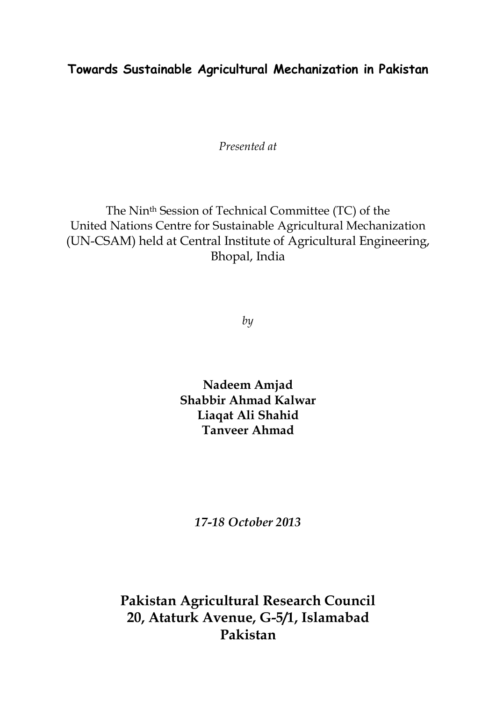# **Towards Sustainable Agricultural Mechanization in Pakistan**

*Presented at*

The Ninth Session of Technical Committee (TC) of the United Nations Centre for Sustainable Agricultural Mechanization (UN-CSAM) held at Central Institute of Agricultural Engineering, Bhopal, India

*by*

**Nadeem Amjad Shabbir Ahmad Kalwar Liaqat Ali Shahid Tanveer Ahmad**

*17-18 October 2013*

**Pakistan Agricultural Research Council 20, Ataturk Avenue, G-5/1, Islamabad Pakistan**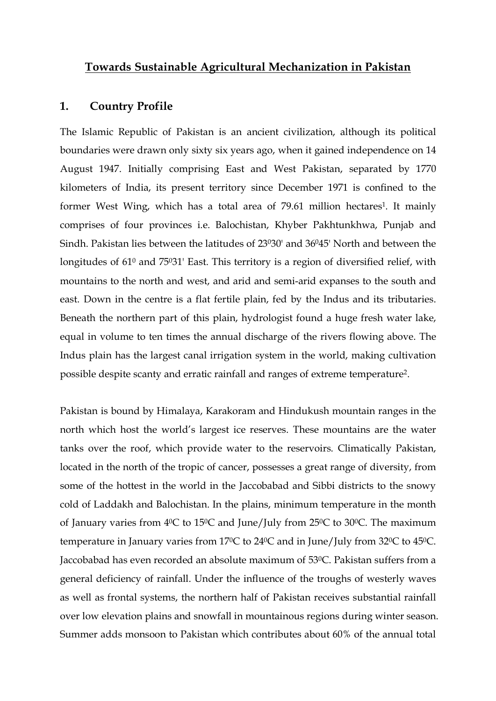## **Towards Sustainable Agricultural Mechanization in Pakistan**

## **1. Country Profile**

The Islamic Republic of Pakistan is an ancient civilization, although its political boundaries were drawn only sixty six years ago, when it gained independence on 14 August 1947. Initially comprising East and West Pakistan, separated by 1770 kilometers of India, its present territory since December 1971 is confined to the former West Wing, which has a total area of 79.61 million hectares<sup>1</sup>. It mainly comprises of four provinces i.e. Balochistan, Khyber Pakhtunkhwa, Punjab and Sindh. Pakistan lies between the latitudes of 23030' and 36045' North and between the longitudes of 61<sup>0</sup> and 75<sup>0</sup>31' East. This territory is a region of diversified relief, with mountains to the north and west, and arid and semi-arid expanses to the south and east. Down in the centre is a flat fertile plain, fed by the Indus and its tributaries. Beneath the northern part of this plain, hydrologist found a huge fresh water lake, equal in volume to ten times the annual discharge of the rivers flowing above. The Indus plain has the largest canal irrigation system in the world, making cultivation possible despite scanty and erratic rainfall and ranges of extreme temperature2.

Pakistan is bound by Himalaya, Karakoram and Hindukush mountain ranges in the north which host the world's largest ice reserves. These mountains are the water tanks over the roof, which provide water to the reservoirs. Climatically Pakistan, located in the north of the tropic of cancer, possesses a great range of diversity, from some of the hottest in the world in the Jaccobabad and Sibbi districts to the snowy cold of Laddakh and Balochistan. In the plains, minimum temperature in the month of January varies from  $4^{\circ}C$  to  $15^{\circ}C$  and June/July from  $25^{\circ}C$  to  $30^{\circ}C$ . The maximum temperature in January varies from 17<sup>0</sup>C to 24<sup>0</sup>C and in June/July from 32<sup>0</sup>C to 45<sup>0</sup>C. Jaccobabad has even recorded an absolute maximum of 530C. Pakistan suffers from a general deficiency of rainfall. Under the influence of the troughs of westerly waves as well as frontal systems, the northern half of Pakistan receives substantial rainfall over low elevation plains and snowfall in mountainous regions during winter season. Summer adds monsoon to Pakistan which contributes about 60% of the annual total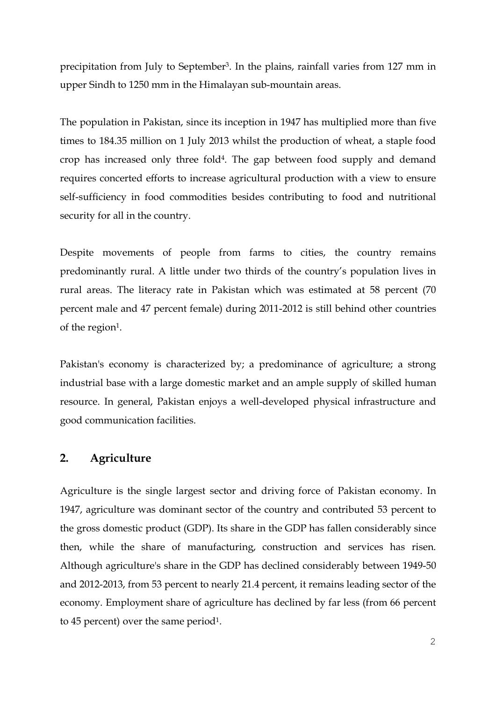precipitation from July to September3. In the plains, rainfall varies from 127 mm in upper Sindh to 1250 mm in the Himalayan sub-mountain areas.

The population in Pakistan, since its inception in 1947 has multiplied more than five times to 184.35 million on 1 July 2013 whilst the production of wheat, a staple food crop has increased only three fold4. The gap between food supply and demand requires concerted efforts to increase agricultural production with a view to ensure self-sufficiency in food commodities besides contributing to food and nutritional security for all in the country.

Despite movements of people from farms to cities, the country remains predominantly rural. A little under two thirds of the country's population lives in rural areas. The literacy rate in Pakistan which was estimated at 58 percent (70 percent male and 47 percent female) during 2011-2012 is still behind other countries of the region<sup>1</sup>.

Pakistan's economy is characterized by; a predominance of agriculture; a strong industrial base with a large domestic market and an ample supply of skilled human resource. In general, Pakistan enjoys a well-developed physical infrastructure and good communication facilities.

## **2. Agriculture**

Agriculture is the single largest sector and driving force of Pakistan economy. In 1947, agriculture was dominant sector of the country and contributed 53 percent to the gross domestic product (GDP). Its share in the GDP has fallen considerably since then, while the share of manufacturing, construction and services has risen. Although agriculture's share in the GDP has declined considerably between 1949-50 and 2012-2013, from 53 percent to nearly 21.4 percent, it remains leading sector of the economy. Employment share of agriculture has declined by far less (from 66 percent to 45 percent) over the same period<sup>1</sup>.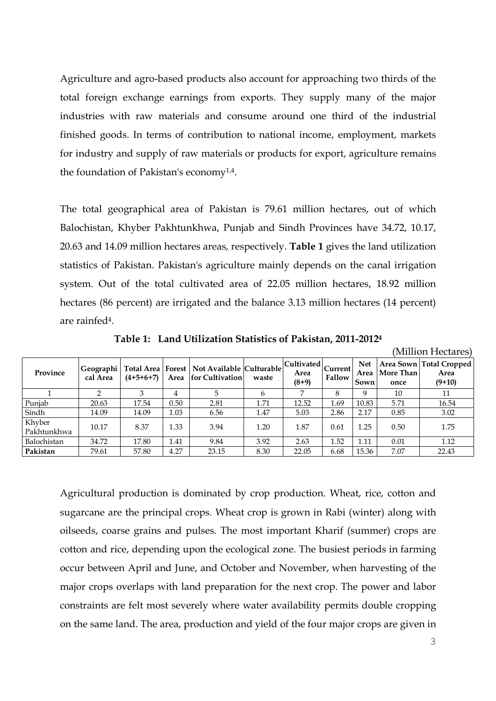Agriculture and agro-based products also account for approaching two thirds of the total foreign exchange earnings from exports. They supply many of the major industries with raw materials and consume around one third of the industrial finished goods. In terms of contribution to national income, employment, markets for industry and supply of raw materials or products for export, agriculture remains the foundation of Pakistan's economy1,4.

The total geographical area of Pakistan is 79.61 million hectares, out of which Balochistan, Khyber Pakhtunkhwa, Punjab and Sindh Provinces have 34.72, 10.17, 20.63 and 14.09 million hectares areas, respectively. **Table 1** gives the land utilization statistics of Pakistan. Pakistan's agriculture mainly depends on the canal irrigation system. Out of the total cultivated area of 22.05 million hectares, 18.92 million hectares (86 percent) are irrigated and the balance 3.13 million hectares (14 percent) are rainfed4.

**Table 1: Land Utilization Statistics of Pakistan, 2011-20124**

|                       |                       |             |      |                                                                            |       |                                                                        |               |                            |                   | <u>ivillitoit i lectares </u>               |
|-----------------------|-----------------------|-------------|------|----------------------------------------------------------------------------|-------|------------------------------------------------------------------------|---------------|----------------------------|-------------------|---------------------------------------------|
| Province              | Geographi<br>cal Area | $(4+5+6+7)$ |      | Total Area   Forest   Not Available   Culturable  <br>Area for Cultivation | waste | $\left  \text{Clutivated} \right _{\text{Current}}$<br>Area<br>$(8+9)$ | <b>Fallow</b> | <b>Net</b><br>Area<br>Sown | More Than<br>once | Area Sown Total Cropped<br>Area<br>$(9+10)$ |
|                       |                       |             | 4    |                                                                            | b     | 7                                                                      | 8             | q                          | 10                | 11                                          |
| Punjab                | 20.63                 | 17.54       | 0.50 | 2.81                                                                       | 1.71  | 12.52                                                                  | 1.69          | 10.83                      | 5.71              | 16.54                                       |
| Sindh                 | 14.09                 | 14.09       | 1.03 | 6.56                                                                       | 1.47  | 5.03                                                                   | 2.86          | 2.17                       | 0.85              | 3.02                                        |
| Khyber<br>Pakhtunkhwa | 10.17                 | 8.37        | 1.33 | 3.94                                                                       | 1.20  | 1.87                                                                   | 0.61          | 1.25                       | 0.50              | 1.75                                        |
| Balochistan           | 34.72                 | 17.80       | 1.41 | 9.84                                                                       | 3.92  | 2.63                                                                   | 1.52          | 1.11                       | 0.01              | 1.12                                        |
| Pakistan              | 79.61                 | 57.80       | 4.27 | 23.15                                                                      | 8.30  | 22.05                                                                  | 6.68          | 15.36                      | 7.07              | 22.43                                       |

Agricultural production is dominated by crop production. Wheat, rice, cotton and sugarcane are the principal crops. Wheat crop is grown in Rabi (winter) along with oilseeds, coarse grains and pulses. The most important Kharif (summer) crops are cotton and rice, depending upon the ecological zone. The busiest periods in farming occur between April and June, and October and November, when harvesting of the major crops overlaps with land preparation for the next crop. The power and labor constraints are felt most severely where water availability permits double cropping on the same land. The area, production and yield of the four major crops are given in

 $(Millian Hcenter)$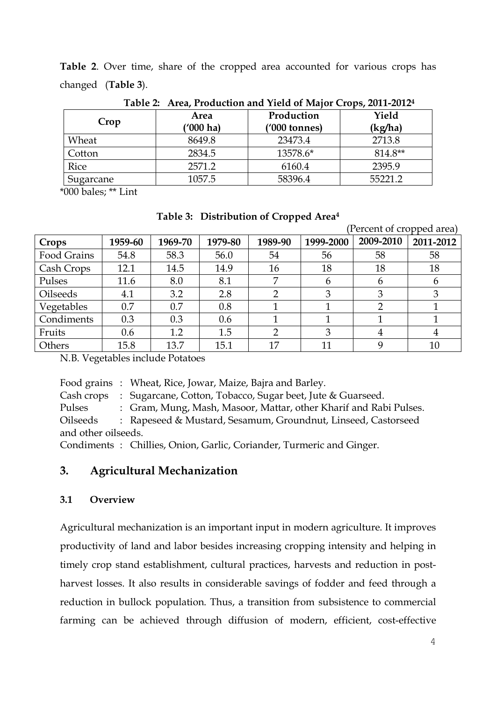**Table 2**. Over time, share of the cropped area accounted for various crops has changed (**Table 3**).

| Table 2: Area, Production and Yield of Major Crops, 2011-2012 <sup>4</sup> |                   |                             |                  |  |  |  |
|----------------------------------------------------------------------------|-------------------|-----------------------------|------------------|--|--|--|
| Crop                                                                       | Area<br>('000 ha) | Production<br>('000 tonnes) | Yield<br>(kg/ha) |  |  |  |
| Wheat                                                                      | 8649.8            | 23473.4                     | 2713.8           |  |  |  |
| Cotton                                                                     | 2834.5            | 13578.6*                    | $814.8**$        |  |  |  |
| Rice                                                                       | 2571.2            | 6160.4                      | 2395.9           |  |  |  |
| Sugarcane                                                                  | 1057.5            | 58396.4                     | 55221.2          |  |  |  |

 **Table 2: Area, Production and Yield of Major Crops, 2011-20124**

\*000 bales; \*\* Lint

|             |         |         |         | . .           |           | (Percent of cropped area) |           |
|-------------|---------|---------|---------|---------------|-----------|---------------------------|-----------|
| Crops       | 1959-60 | 1969-70 | 1979-80 | 1989-90       | 1999-2000 | 2009-2010                 | 2011-2012 |
| Food Grains | 54.8    | 58.3    | 56.0    | 54            | 56        | 58                        | 58        |
| Cash Crops  | 12.1    | 14.5    | 14.9    | 16            | 18        | 18                        | 18        |
| Pulses      | 11.6    | 8.0     | 8.1     | 7             | 6         | 6                         | 6         |
| Oilseeds    | 4.1     | 3.2     | 2.8     | 2             | 3         | 3                         | 3         |
| Vegetables  | 0.7     | 0.7     | 0.8     |               |           | റ                         |           |
| Condiments  | 0.3     | 0.3     | 0.6     |               |           |                           |           |
| Fruits      | 0.6     | 1.2     | 1.5     | $\mathcal{P}$ | 3         | 4                         | 4         |
| Others      | 15.8    | 13.7    | 15.1    | 17            |           | Q                         | 10        |

## **Table 3: Distribution of Cropped Area4**

N.B. Vegetables include Potatoes

Food grains : Wheat, Rice, Jowar, Maize, Bajra and Barley.

Cash crops : Sugarcane, Cotton, Tobacco, Sugar beet, Jute & Guarseed.

Pulses : Gram, Mung, Mash, Masoor, Mattar, other Kharif and Rabi Pulses.

Oilseeds : Rapeseed & Mustard, Sesamum, Groundnut, Linseed, Castorseed and other oilseeds.

Condiments : Chillies, Onion, Garlic, Coriander, Turmeric and Ginger.

## **3. Agricultural Mechanization**

## **3.1 Overview**

Agricultural mechanization is an important input in modern agriculture. It improves productivity of land and labor besides increasing cropping intensity and helping in timely crop stand establishment, cultural practices, harvests and reduction in postharvest losses. It also results in considerable savings of fodder and feed through a reduction in bullock population. Thus, a transition from subsistence to commercial farming can be achieved through diffusion of modern, efficient, cost-effective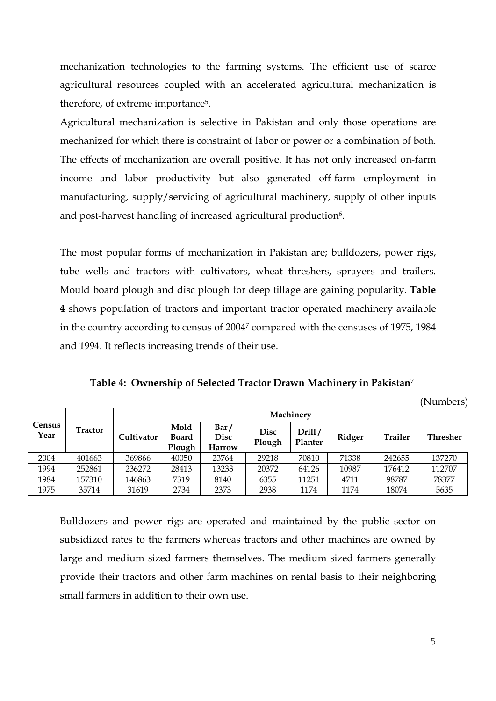mechanization technologies to the farming systems. The efficient use of scarce agricultural resources coupled with an accelerated agricultural mechanization is therefore, of extreme importance5.

Agricultural mechanization is selective in Pakistan and only those operations are mechanized for which there is constraint of labor or power or a combination of both. The effects of mechanization are overall positive. It has not only increased on-farm income and labor productivity but also generated off-farm employment in manufacturing, supply/servicing of agricultural machinery, supply of other inputs and post-harvest handling of increased agricultural production<sup>6</sup>.

The most popular forms of mechanization in Pakistan are; bulldozers, power rigs, tube wells and tractors with cultivators, wheat threshers, sprayers and trailers. Mould board plough and disc plough for deep tillage are gaining popularity. **Table 4** shows population of tractors and important tractor operated machinery available in the country according to census of 20047 compared with the censuses of 1975, 1984 and 1994. It reflects increasing trends of their use.

|                |                |            |                                |                                      |                       |                   |        |                | <b>Numbers</b>  |
|----------------|----------------|------------|--------------------------------|--------------------------------------|-----------------------|-------------------|--------|----------------|-----------------|
|                |                | Machinery  |                                |                                      |                       |                   |        |                |                 |
| Census<br>Year | <b>Tractor</b> | Cultivator | Mold<br><b>Board</b><br>Plough | Bar/<br><b>Disc</b><br><b>Harrow</b> | <b>Disc</b><br>Plough | Drill/<br>Planter | Ridger | <b>Trailer</b> | <b>Thresher</b> |
| 2004           | 401663         | 369866     | 40050                          | 23764                                | 29218                 | 70810             | 71338  | 242655         | 137270          |
| 1994           | 252861         | 236272     | 28413                          | 13233                                | 20372                 | 64126             | 10987  | 176412         | 112707          |
| 1984           | 157310         | 146863     | 7319                           | 8140                                 | 6355                  | 11251             | 4711   | 98787          | 78377           |
| 1975           | 35714          | 31619      | 2734                           | 2373                                 | 2938                  | 1174              | 1174   | 18074          | 5635            |

**Table 4: Ownership of Selected Tractor Drawn Machinery in Pakistan**<sup>7</sup>

Bulldozers and power rigs are operated and maintained by the public sector on subsidized rates to the farmers whereas tractors and other machines are owned by large and medium sized farmers themselves. The medium sized farmers generally provide their tractors and other farm machines on rental basis to their neighboring small farmers in addition to their own use.

 $(NT - 1)$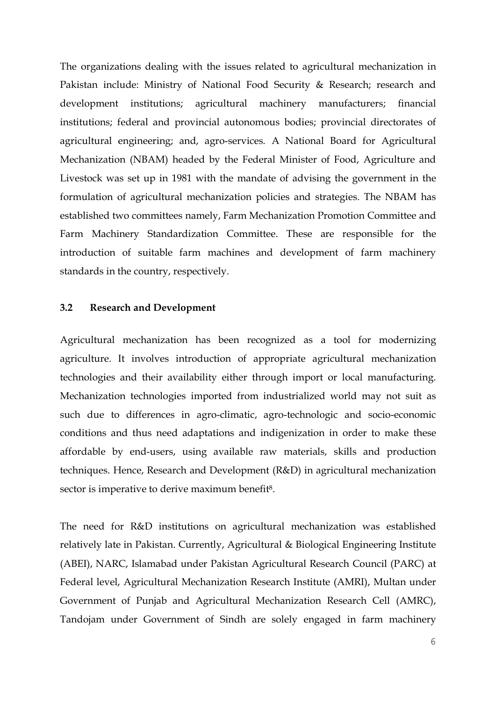The organizations dealing with the issues related to agricultural mechanization in Pakistan include: Ministry of National Food Security & Research; research and development institutions; agricultural machinery manufacturers; financial institutions; federal and provincial autonomous bodies; provincial directorates of agricultural engineering; and, agro-services. A National Board for Agricultural Mechanization (NBAM) headed by the Federal Minister of Food, Agriculture and Livestock was set up in 1981 with the mandate of advising the government in the formulation of agricultural mechanization policies and strategies. The NBAM has established two committees namely, Farm Mechanization Promotion Committee and Farm Machinery Standardization Committee. These are responsible for the introduction of suitable farm machines and development of farm machinery standards in the country, respectively.

### **3.2 Research and Development**

Agricultural mechanization has been recognized as a tool for modernizing agriculture. It involves introduction of appropriate agricultural mechanization technologies and their availability either through import or local manufacturing. Mechanization technologies imported from industrialized world may not suit as such due to differences in agro-climatic, agro-technologic and socio-economic conditions and thus need adaptations and indigenization in order to make these affordable by end-users, using available raw materials, skills and production techniques. Hence, Research and Development (R&D) in agricultural mechanization sector is imperative to derive maximum benefit<sup>8</sup>.

The need for R&D institutions on agricultural mechanization was established relatively late in Pakistan. Currently, Agricultural & Biological Engineering Institute (ABEI), NARC, Islamabad under Pakistan Agricultural Research Council (PARC) at Federal level, Agricultural Mechanization Research Institute (AMRI), Multan under Government of Punjab and Agricultural Mechanization Research Cell (AMRC), Tandojam under Government of Sindh are solely engaged in farm machinery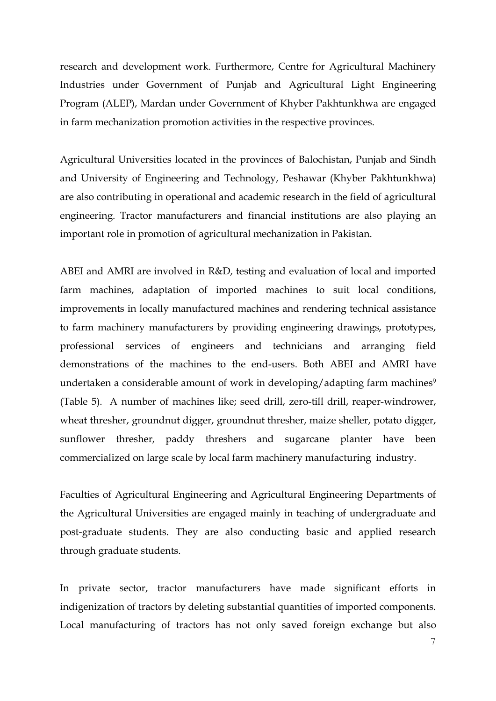research and development work. Furthermore, Centre for Agricultural Machinery Industries under Government of Punjab and Agricultural Light Engineering Program (ALEP), Mardan under Government of Khyber Pakhtunkhwa are engaged in farm mechanization promotion activities in the respective provinces.

Agricultural Universities located in the provinces of Balochistan, Punjab and Sindh and University of Engineering and Technology, Peshawar (Khyber Pakhtunkhwa) are also contributing in operational and academic research in the field of agricultural engineering. Tractor manufacturers and financial institutions are also playing an important role in promotion of agricultural mechanization in Pakistan.

ABEI and AMRI are involved in R&D, testing and evaluation of local and imported farm machines, adaptation of imported machines to suit local conditions, improvements in locally manufactured machines and rendering technical assistance to farm machinery manufacturers by providing engineering drawings, prototypes, professional services of engineers and technicians and arranging field demonstrations of the machines to the end-users. Both ABEI and AMRI have undertaken a considerable amount of work in developing/adapting farm machines<sup>9</sup> (Table 5). A number of machines like; seed drill, zero-till drill, reaper-windrower, wheat thresher, groundnut digger, groundnut thresher, maize sheller, potato digger, sunflower thresher, paddy threshers and sugarcane planter have been commercialized on large scale by local farm machinery manufacturing industry.

Faculties of Agricultural Engineering and Agricultural Engineering Departments of the Agricultural Universities are engaged mainly in teaching of undergraduate and post-graduate students. They are also conducting basic and applied research through graduate students.

In private sector, tractor manufacturers have made significant efforts in indigenization of tractors by deleting substantial quantities of imported components. Local manufacturing of tractors has not only saved foreign exchange but also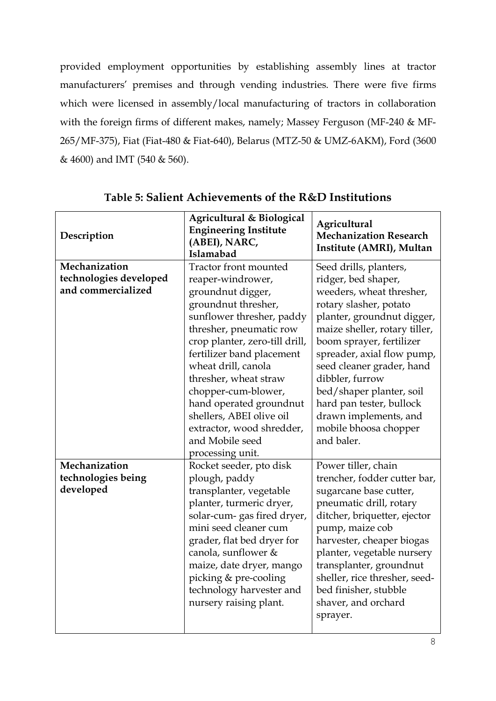provided employment opportunities by establishing assembly lines at tractor manufacturers' premises and through vending industries. There were five firms which were licensed in assembly/local manufacturing of tractors in collaboration with the foreign firms of different makes, namely; Massey Ferguson (MF-240 & MF-265/MF-375), Fiat (Fiat-480 & Fiat-640), Belarus (MTZ-50 & UMZ-6AKM), Ford (3600 & 4600) and IMT (540 & 560).

| Description            | Agricultural & Biological<br><b>Engineering Institute</b><br>(ABEI), NARC,<br>Islamabad | Agricultural<br><b>Mechanization Research</b><br>Institute (AMRI), Multan |
|------------------------|-----------------------------------------------------------------------------------------|---------------------------------------------------------------------------|
| Mechanization          | Tractor front mounted                                                                   | Seed drills, planters,                                                    |
| technologies developed | reaper-windrower,                                                                       | ridger, bed shaper,                                                       |
| and commercialized     | groundnut digger,                                                                       | weeders, wheat thresher,                                                  |
|                        | groundnut thresher,                                                                     | rotary slasher, potato                                                    |
|                        | sunflower thresher, paddy                                                               | planter, groundnut digger,                                                |
|                        | thresher, pneumatic row                                                                 | maize sheller, rotary tiller,                                             |
|                        | crop planter, zero-till drill,                                                          | boom sprayer, fertilizer                                                  |
|                        | fertilizer band placement                                                               | spreader, axial flow pump,                                                |
|                        | wheat drill, canola                                                                     | seed cleaner grader, hand                                                 |
|                        | thresher, wheat straw                                                                   | dibbler, furrow                                                           |
|                        | chopper-cum-blower,                                                                     | bed/shaper planter, soil                                                  |
|                        | hand operated groundnut                                                                 | hard pan tester, bullock                                                  |
|                        | shellers, ABEI olive oil                                                                | drawn implements, and                                                     |
|                        | extractor, wood shredder,                                                               | mobile bhoosa chopper                                                     |
|                        | and Mobile seed                                                                         | and baler.                                                                |
|                        | processing unit.                                                                        |                                                                           |
| Mechanization          | Rocket seeder, pto disk                                                                 | Power tiller, chain                                                       |
| technologies being     | plough, paddy                                                                           | trencher, fodder cutter bar,                                              |
| developed              | transplanter, vegetable                                                                 | sugarcane base cutter,                                                    |
|                        | planter, turmeric dryer,                                                                | pneumatic drill, rotary                                                   |
|                        | solar-cum- gas fired dryer,                                                             | ditcher, briquetter, ejector                                              |
|                        | mini seed cleaner cum                                                                   | pump, maize cob                                                           |
|                        | grader, flat bed dryer for                                                              | harvester, cheaper biogas                                                 |
|                        | canola, sunflower &                                                                     | planter, vegetable nursery                                                |
|                        | maize, date dryer, mango                                                                | transplanter, groundnut                                                   |
|                        | picking & pre-cooling                                                                   | sheller, rice thresher, seed-                                             |
|                        | technology harvester and                                                                | bed finisher, stubble                                                     |
|                        | nursery raising plant.                                                                  | shaver, and orchard                                                       |
|                        |                                                                                         | sprayer.                                                                  |

**Table 5: Salient Achievements of the R&D Institutions**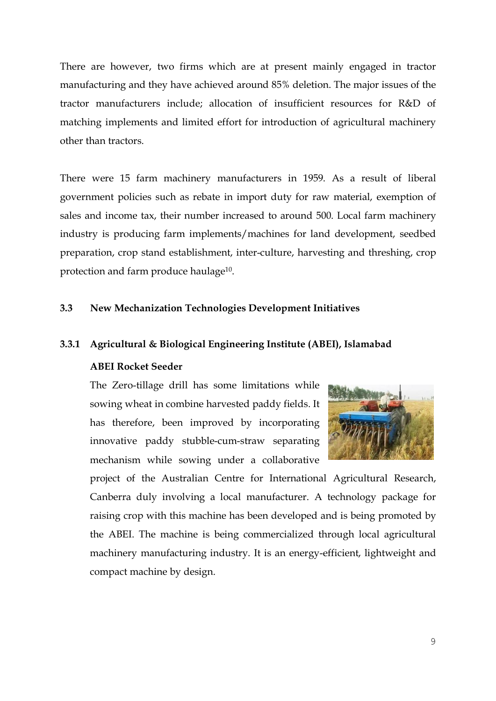There are however, two firms which are at present mainly engaged in tractor manufacturing and they have achieved around 85% deletion. The major issues of the tractor manufacturers include; allocation of insufficient resources for R&D of matching implements and limited effort for introduction of agricultural machinery other than tractors.

There were 15 farm machinery manufacturers in 1959. As a result of liberal government policies such as rebate in import duty for raw material, exemption of sales and income tax, their number increased to around 500. Local farm machinery industry is producing farm implements/machines for land development, seedbed preparation, crop stand establishment, inter-culture, harvesting and threshing, crop protection and farm produce haulage<sup>10</sup>.

## **3.3 New Mechanization Technologies Development Initiatives**

#### **3.3.1 Agricultural & Biological Engineering Institute (ABEI), Islamabad**

#### **ABEI Rocket Seeder**

The Zero-tillage drill has some limitations while sowing wheat in combine harvested paddy fields. It has therefore, been improved by incorporating innovative paddy stubble-cum-straw separating mechanism while sowing under a collaborative



project of the Australian Centre for International Agricultural Research, Canberra duly involving a local manufacturer. A technology package for raising crop with this machine has been developed and is being promoted by the ABEI. The machine is being commercialized through local agricultural machinery manufacturing industry. It is an energy-efficient, lightweight and compact machine by design.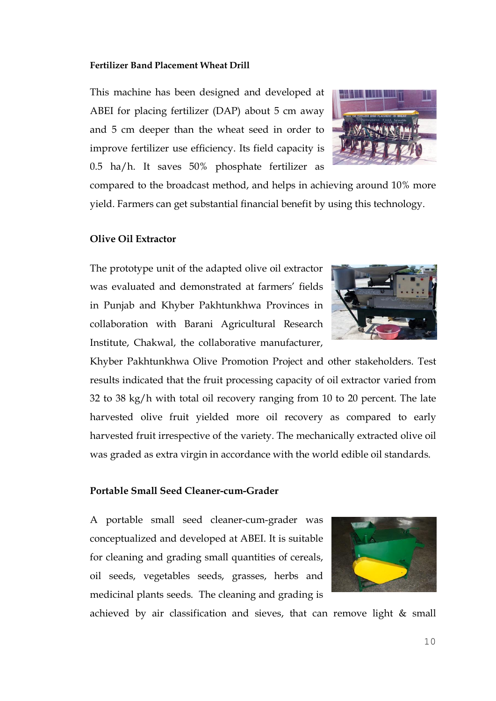#### **Fertilizer Band Placement Wheat Drill**

This machine has been designed and developed at ABEI for placing fertilizer (DAP) about 5 cm away and 5 cm deeper than the wheat seed in order to improve fertilizer use efficiency. Its field capacity is 0.5 ha/h. It saves 50% phosphate fertilizer as

compared to the broadcast method, and helps in achieving around 10% more yield. Farmers can get substantial financial benefit by using this technology.

## **Olive Oil Extractor**

The prototype unit of the adapted olive oil extractor was evaluated and demonstrated at farmers' fields in Punjab and Khyber Pakhtunkhwa Provinces in collaboration with Barani Agricultural Research Institute, Chakwal, the collaborative manufacturer,

Khyber Pakhtunkhwa Olive Promotion Project and other stakeholders. Test results indicated that the fruit processing capacity of oil extractor varied from 32 to 38 kg/h with total oil recovery ranging from 10 to 20 percent. The late harvested olive fruit yielded more oil recovery as compared to early harvested fruit irrespective of the variety. The mechanically extracted olive oil was graded as extra virgin in accordance with the world edible oil standards.

#### **Portable Small Seed Cleaner-cum-Grader**

A portable small seed cleaner-cum-grader was conceptualized and developed at ABEI. It is suitable for cleaning and grading small quantities of cereals, oil seeds, vegetables seeds, grasses, herbs and medicinal plants seeds. The cleaning and grading is

achieved by air classification and sieves, that can remove light & small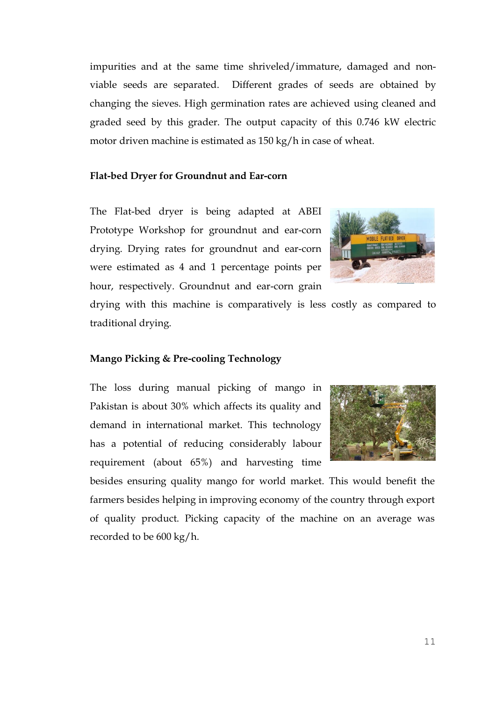impurities and at the same time shriveled/immature, damaged and nonviable seeds are separated. Different grades of seeds are obtained by changing the sieves. High germination rates are achieved using cleaned and graded seed by this grader. The output capacity of this 0.746 kW electric motor driven machine is estimated as 150 kg/h in case of wheat.

#### **Flat-bed Dryer for Groundnut and Ear-corn**

The Flat-bed dryer is being adapted at ABEI Prototype Workshop for groundnut and ear-corn drying. Drying rates for groundnut and ear-corn were estimated as 4 and 1 percentage points per hour, respectively. Groundnut and ear-corn grain



drying with this machine is comparatively is less costly as compared to traditional drying.

#### **Mango Picking & Pre-cooling Technology**

The loss during manual picking of mango in Pakistan is about 30% which affects its quality and demand in international market. This technology has a potential of reducing considerably labour requirement (about 65%) and harvesting time



besides ensuring quality mango for world market. This would benefit the farmers besides helping in improving economy of the country through export of quality product. Picking capacity of the machine on an average was recorded to be 600 kg/h.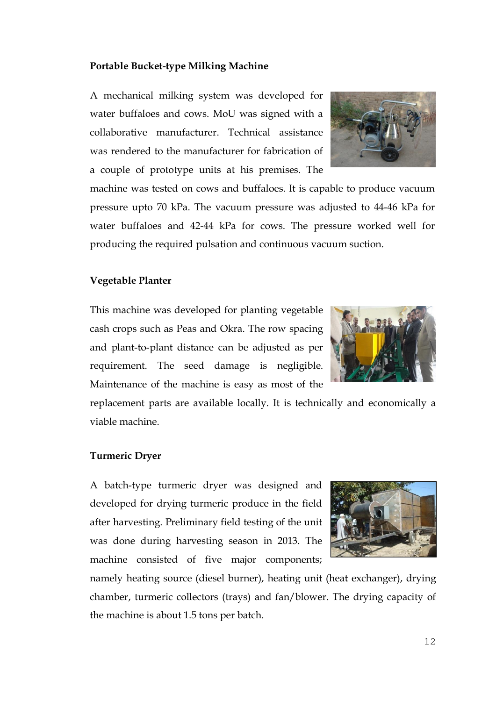## **Portable Bucket-type Milking Machine**

A mechanical milking system was developed for water buffaloes and cows. MoU was signed with a collaborative manufacturer. Technical assistance was rendered to the manufacturer for fabrication of a couple of prototype units at his premises. The



machine was tested on cows and buffaloes. It is capable to produce vacuum pressure upto 70 kPa. The vacuum pressure was adjusted to 44-46 kPa for water buffaloes and 42-44 kPa for cows. The pressure worked well for producing the required pulsation and continuous vacuum suction.

#### **Vegetable Planter**

This machine was developed for planting vegetable cash crops such as Peas and Okra. The row spacing and plant-to-plant distance can be adjusted as per requirement. The seed damage is negligible. Maintenance of the machine is easy as most of the



replacement parts are available locally. It is technically and economically a viable machine.

### **Turmeric Dryer**

A batch-type turmeric dryer was designed and developed for drying turmeric produce in the field after harvesting. Preliminary field testing of the unit was done during harvesting season in 2013. The machine consisted of five major components;



namely heating source (diesel burner), heating unit (heat exchanger), drying chamber, turmeric collectors (trays) and fan/blower. The drying capacity of the machine is about 1.5 tons per batch.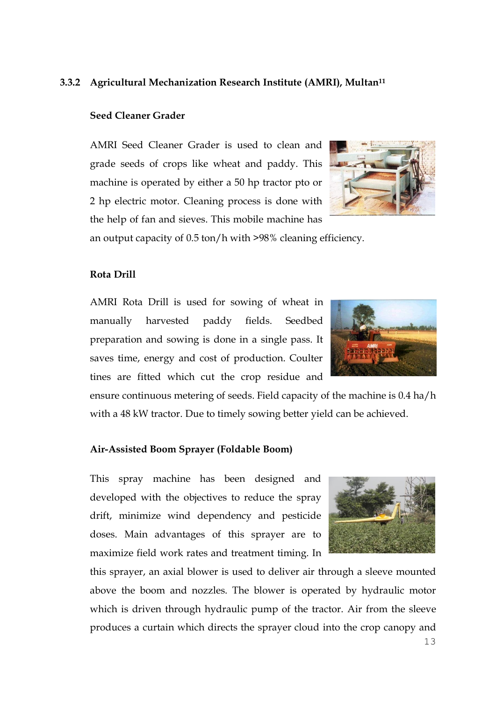## **3.3.2 Agricultural Mechanization Research Institute (AMRI), Multan11**

## **Seed Cleaner Grader**

AMRI Seed Cleaner Grader is used to clean and grade seeds of crops like wheat and paddy. This machine is operated by either a 50 hp tractor pto or 2 hp electric motor. Cleaning process is done with the help of fan and sieves. This mobile machine has



an output capacity of 0.5 ton/h with >98% cleaning efficiency.

## **Rota Drill**

AMRI Rota Drill is used for sowing of wheat in manually harvested paddy fields. Seedbed preparation and sowing is done in a single pass. It saves time, energy and cost of production. Coulter tines are fitted which cut the crop residue and



ensure continuous metering of seeds. Field capacity of the machine is 0.4 ha/h with a 48 kW tractor. Due to timely sowing better yield can be achieved.

## **Air-Assisted Boom Sprayer (Foldable Boom)**

This spray machine has been designed and developed with the objectives to reduce the spray drift, minimize wind dependency and pesticide doses. Main advantages of this sprayer are to maximize field work rates and treatment timing. In



this sprayer, an axial blower is used to deliver air through a sleeve mounted above the boom and nozzles. The blower is operated by hydraulic motor which is driven through hydraulic pump of the tractor. Air from the sleeve produces a curtain which directs the sprayer cloud into the crop canopy and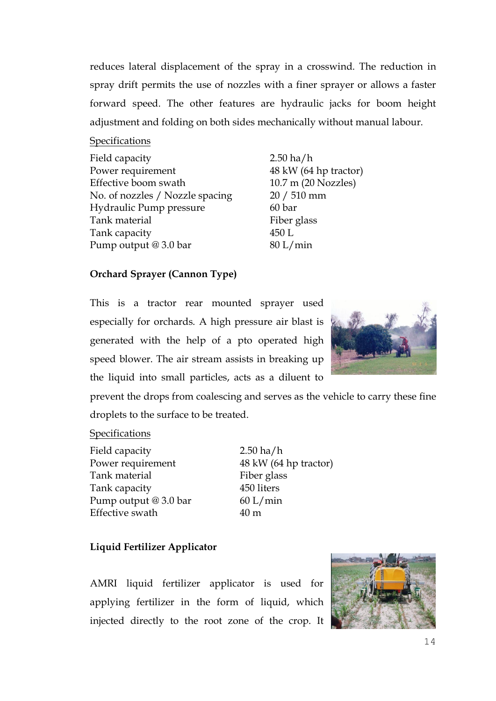reduces lateral displacement of the spray in a crosswind. The reduction in spray drift permits the use of nozzles with a finer sprayer or allows a faster forward speed. The other features are hydraulic jacks for boom height adjustment and folding on both sides mechanically without manual labour.

## Specifications

| Field capacity                  | $2.50$ ha/h           |
|---------------------------------|-----------------------|
| Power requirement               | 48 kW (64 hp tractor) |
| Effective boom swath            | 10.7 m (20 Nozzles)   |
| No. of nozzles / Nozzle spacing | 20 / 510 mm           |
| <b>Hydraulic Pump pressure</b>  | 60 bar                |
| Tank material                   | Fiber glass           |
| Tank capacity                   | 450 L                 |
| Pump output @ 3.0 bar           | 80 L/min              |

## **Orchard Sprayer (Cannon Type)**

This is a tractor rear mounted sprayer used especially for orchards. A high pressure air blast is generated with the help of a pto operated high speed blower. The air stream assists in breaking up the liquid into small particles, acts as a diluent to



prevent the drops from coalescing and serves as the vehicle to carry these fine droplets to the surface to be treated.

### Specifications

Field capacity 2.50 ha/h Power requirement 48 kW (64 hp tractor) Tank material Fiber glass Tank capacity 450 liters Pump output  $@3.0$  bar 60 L/min Effective swath 40 m

## **Liquid Fertilizer Applicator**

AMRI liquid fertilizer applicator is used for applying fertilizer in the form of liquid, which injected directly to the root zone of the crop. It

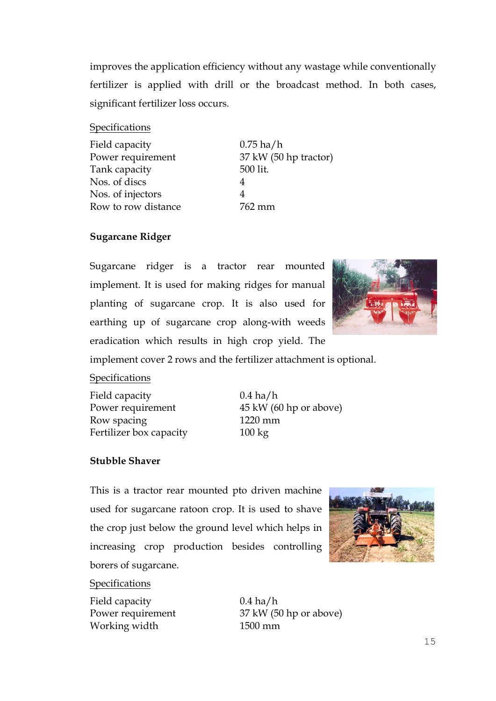improves the application efficiency without any wastage while conventionally fertilizer is applied with drill or the broadcast method. In both cases, significant fertilizer loss occurs.

#### Specifications

| Field capacity      | $0.75$ ha/h           |
|---------------------|-----------------------|
| Power requirement   | 37 kW (50 hp tractor) |
| Tank capacity       | 500 lit.              |
| Nos. of discs       |                       |
| Nos. of injectors   |                       |
| Row to row distance | 762 mm                |
|                     |                       |

### **Sugarcane Ridger**

Sugarcane ridger is a tractor rear mounted implement. It is used for making ridges for manual planting of sugarcane crop. It is also used for earthing up of sugarcane crop along-with weeds eradication which results in high crop yield. The



implement cover 2 rows and the fertilizer attachment is optional.

#### Specifications

Field capacity 0.4 ha/h Row spacing 1220 mm Fertilizer box capacity 100 kg

Power requirement 45 kW (60 hp or above)

## **Stubble Shaver**

This is a tractor rear mounted pto driven machine used for sugarcane ratoon crop. It is used to shave the crop just below the ground level which helps in increasing crop production besides controlling borers of sugarcane.



Specifications

Field capacity 0.4 ha/h Working width 1500 mm

Power requirement 37 kW (50 hp or above)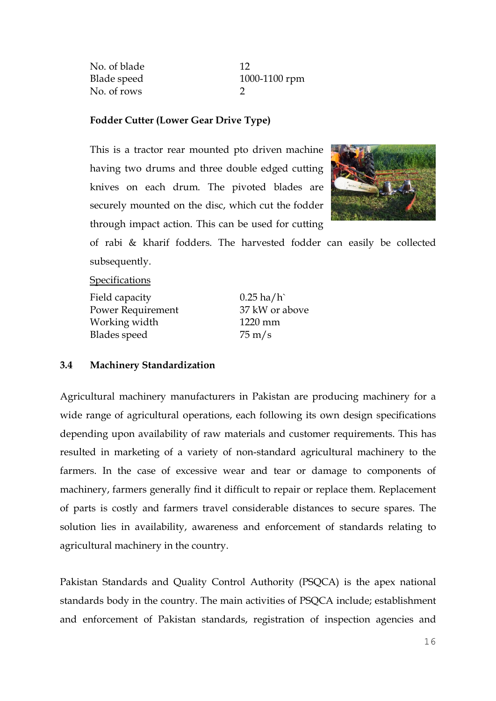| No. of blade | 12            |
|--------------|---------------|
| Blade speed  | 1000-1100 rpm |
| No. of rows  |               |

## **Fodder Cutter (Lower Gear Drive Type)**

This is a tractor rear mounted pto driven machine having two drums and three double edged cutting knives on each drum. The pivoted blades are securely mounted on the disc, which cut the fodder through impact action. This can be used for cutting



of rabi & kharif fodders. The harvested fodder can easily be collected subsequently.

**Specifications** 

Field capacity 0.25 ha/h Power Requirement 37 kW or above Working width 1220 mm Blades speed 75 m/s

#### **3.4 Machinery Standardization**

Agricultural machinery manufacturers in Pakistan are producing machinery for a wide range of agricultural operations, each following its own design specifications depending upon availability of raw materials and customer requirements. This has resulted in marketing of a variety of non-standard agricultural machinery to the farmers. In the case of excessive wear and tear or damage to components of machinery, farmers generally find it difficult to repair or replace them. Replacement of parts is costly and farmers travel considerable distances to secure spares. The solution lies in availability, awareness and enforcement of standards relating to agricultural machinery in the country.

Pakistan Standards and Quality Control Authority (PSQCA) is the apex national standards body in the country. The main activities of PSQCA include; establishment and enforcement of Pakistan standards, registration of inspection agencies and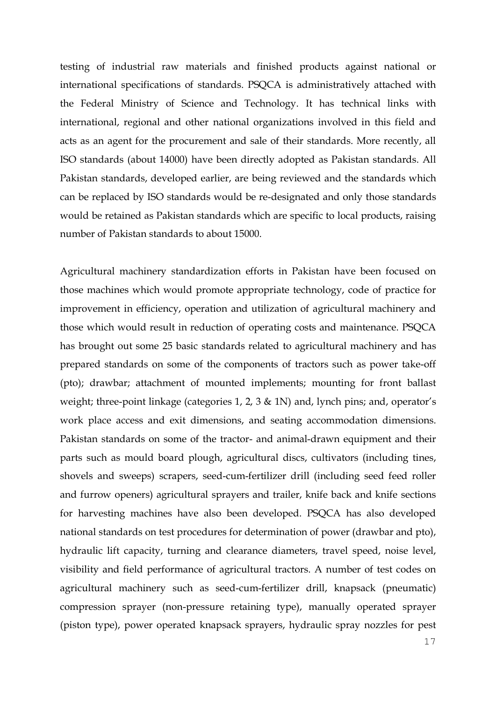testing of industrial raw materials and finished products against national or international specifications of standards. PSQCA is administratively attached with the Federal Ministry of Science and Technology. It has technical links with international, regional and other national organizations involved in this field and acts as an agent for the procurement and sale of their standards. More recently, all ISO standards (about 14000) have been directly adopted as Pakistan standards. All Pakistan standards, developed earlier, are being reviewed and the standards which can be replaced by ISO standards would be re-designated and only those standards would be retained as Pakistan standards which are specific to local products, raising number of Pakistan standards to about 15000.

Agricultural machinery standardization efforts in Pakistan have been focused on those machines which would promote appropriate technology, code of practice for improvement in efficiency, operation and utilization of agricultural machinery and those which would result in reduction of operating costs and maintenance. PSQCA has brought out some 25 basic standards related to agricultural machinery and has prepared standards on some of the components of tractors such as power take-off (pto); drawbar; attachment of mounted implements; mounting for front ballast weight; three-point linkage (categories 1, 2, 3 & 1N) and, lynch pins; and, operator's work place access and exit dimensions, and seating accommodation dimensions. Pakistan standards on some of the tractor- and animal-drawn equipment and their parts such as mould board plough, agricultural discs, cultivators (including tines, shovels and sweeps) scrapers, seed-cum-fertilizer drill (including seed feed roller and furrow openers) agricultural sprayers and trailer, knife back and knife sections for harvesting machines have also been developed. PSQCA has also developed national standards on test procedures for determination of power (drawbar and pto), hydraulic lift capacity, turning and clearance diameters, travel speed, noise level, visibility and field performance of agricultural tractors. A number of test codes on agricultural machinery such as seed-cum-fertilizer drill, knapsack (pneumatic) compression sprayer (non-pressure retaining type), manually operated sprayer (piston type), power operated knapsack sprayers, hydraulic spray nozzles for pest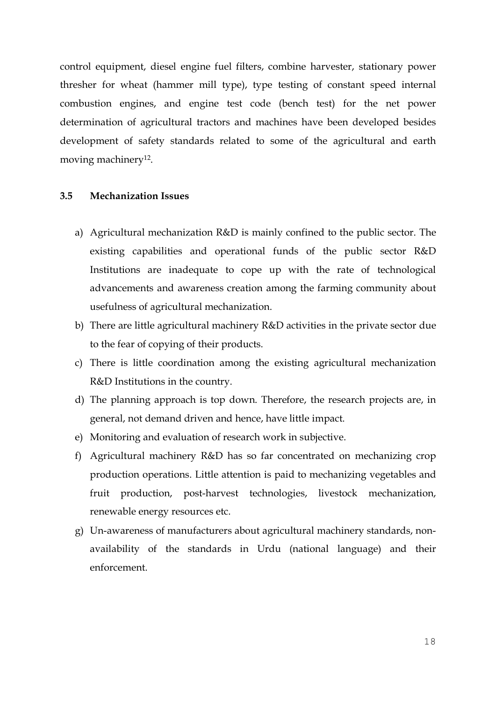control equipment, diesel engine fuel filters, combine harvester, stationary power thresher for wheat (hammer mill type), type testing of constant speed internal combustion engines, and engine test code (bench test) for the net power determination of agricultural tractors and machines have been developed besides development of safety standards related to some of the agricultural and earth moving machinery<sup>12</sup>.

## **3.5 Mechanization Issues**

- a) Agricultural mechanization R&D is mainly confined to the public sector. The existing capabilities and operational funds of the public sector R&D Institutions are inadequate to cope up with the rate of technological advancements and awareness creation among the farming community about usefulness of agricultural mechanization.
- b) There are little agricultural machinery R&D activities in the private sector due to the fear of copying of their products.
- c) There is little coordination among the existing agricultural mechanization R&D Institutions in the country.
- d) The planning approach is top down. Therefore, the research projects are, in general, not demand driven and hence, have little impact.
- e) Monitoring and evaluation of research work in subjective.
- f) Agricultural machinery R&D has so far concentrated on mechanizing crop production operations. Little attention is paid to mechanizing vegetables and fruit production, post-harvest technologies, livestock mechanization, renewable energy resources etc.
- g) Un-awareness of manufacturers about agricultural machinery standards, nonavailability of the standards in Urdu (national language) and their enforcement.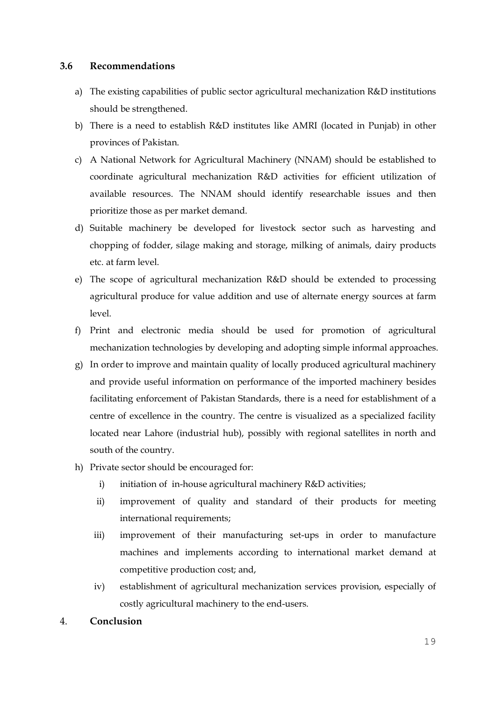#### **3.6 Recommendations**

- a) The existing capabilities of public sector agricultural mechanization R&D institutions should be strengthened.
- b) There is a need to establish R&D institutes like AMRI (located in Punjab) in other provinces of Pakistan.
- c) A National Network for Agricultural Machinery (NNAM) should be established to coordinate agricultural mechanization R&D activities for efficient utilization of available resources. The NNAM should identify researchable issues and then prioritize those as per market demand.
- d) Suitable machinery be developed for livestock sector such as harvesting and chopping of fodder, silage making and storage, milking of animals, dairy products etc. at farm level.
- e) The scope of agricultural mechanization R&D should be extended to processing agricultural produce for value addition and use of alternate energy sources at farm level.
- f) Print and electronic media should be used for promotion of agricultural mechanization technologies by developing and adopting simple informal approaches.
- g) In order to improve and maintain quality of locally produced agricultural machinery and provide useful information on performance of the imported machinery besides facilitating enforcement of Pakistan Standards, there is a need for establishment of a centre of excellence in the country. The centre is visualized as a specialized facility located near Lahore (industrial hub), possibly with regional satellites in north and south of the country.
- h) Private sector should be encouraged for:
	- i) initiation of in-house agricultural machinery R&D activities;
	- ii) improvement of quality and standard of their products for meeting international requirements;
	- iii) improvement of their manufacturing set-ups in order to manufacture machines and implements according to international market demand at competitive production cost; and,
	- iv) establishment of agricultural mechanization services provision, especially of costly agricultural machinery to the end-users.
- 4. **Conclusion**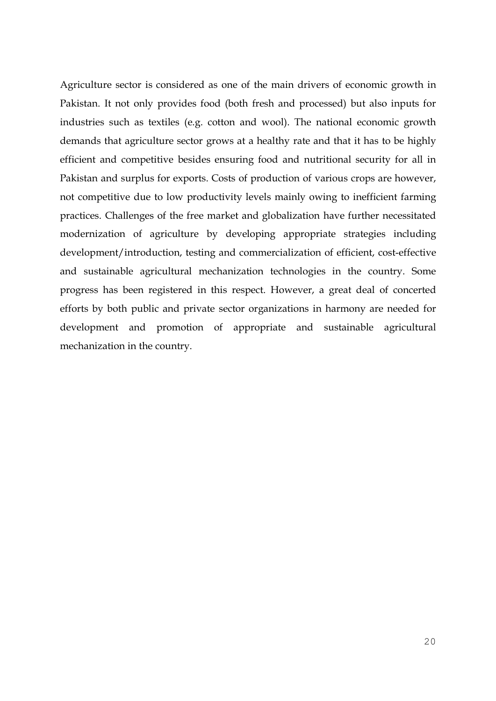Agriculture sector is considered as one of the main drivers of economic growth in Pakistan. It not only provides food (both fresh and processed) but also inputs for industries such as textiles (e.g. cotton and wool). The national economic growth demands that agriculture sector grows at a healthy rate and that it has to be highly efficient and competitive besides ensuring food and nutritional security for all in Pakistan and surplus for exports. Costs of production of various crops are however, not competitive due to low productivity levels mainly owing to inefficient farming practices. Challenges of the free market and globalization have further necessitated modernization of agriculture by developing appropriate strategies including development/introduction, testing and commercialization of efficient, cost-effective and sustainable agricultural mechanization technologies in the country. Some progress has been registered in this respect. However, a great deal of concerted efforts by both public and private sector organizations in harmony are needed for development and promotion of appropriate and sustainable agricultural mechanization in the country.